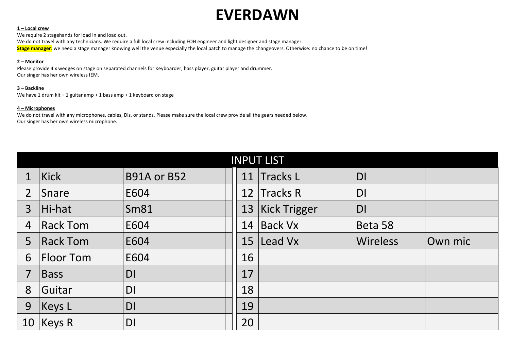## **EVERDAWN**

### **1 – Local crew**

We require 2 stagehands for load in and load out. We do not travel with any technicians. We require a full local crew including FOH engineer and light designer and stage manager. **Stage manager:** we need a stage manager knowing well the venue especially the local patch to manage the changeovers. Otherwise: no chance to be on time!

#### **2 – Monitor**

Please provide 4 x wedges on stage on separated channels for Keyboarder, bass player, guitar player and drummer. Our singer has her own wireless IEM.

#### **3 – Backline**

We have 1 drum kit + 1 guitar amp + 1 bass amp + 1 keyboard on stage

#### **4 – Microphones**

We do not travel with any microphones, cables, Dis, or stands. Please make sure the local crew provide all the gears needed below. Our singer has her own wireless microphone.

| <b>INPUT LIST</b> |                  |                    |    |                     |                 |         |
|-------------------|------------------|--------------------|----|---------------------|-----------------|---------|
|                   | Kick             | <b>B91A or B52</b> | 11 | <b>Tracks L</b>     | DI              |         |
| $\overline{2}$    | Snare            | E604               | 12 | <b>Tracks R</b>     | DI              |         |
| $\overline{3}$    | Hi-hat           | <b>Sm81</b>        | 13 | <b>Kick Trigger</b> | <b>DI</b>       |         |
| $\overline{4}$    | <b>Rack Tom</b>  | E604               | 14 | <b>Back Vx</b>      | Beta 58         |         |
| 5                 | <b>Rack Tom</b>  | E604               | 15 | Lead Vx             | <b>Wireless</b> | Own mic |
| 6                 | <b>Floor Tom</b> | E604               | 16 |                     |                 |         |
| $\overline{7}$    | Bass             | DI                 | 17 |                     |                 |         |
| 8                 | Guitar           | DI                 | 18 |                     |                 |         |
| 9                 | Keys             | DI                 | 19 |                     |                 |         |
| 10                | Keys R           | <b>DI</b>          | 20 |                     |                 |         |